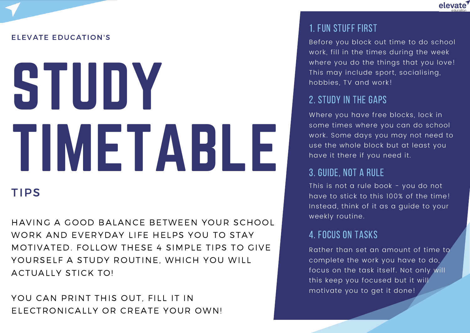

#### ELEVATE EDUCATION'S

# STUDY TIMETABLE

# **TIPS**

HAVING A GOOD BALANCE BETWEEN YOUR SCHOOL WORK AND EVERYDAY LIFE HELPS YOU TO STAY MOTIVATED. FOLLOW THESE 4 SIMPLE TIPS TO GIVE YOURSELF A STUDY ROUTINE, WHICH YOU WILL ACTUALLY STICK TO!

YOU CAN PRINT THIS OUT. FILL IT IN ELECTRONICALLY OR CREATE YOUR OWN!

#### 1. Fun Stuff First

Before you block out time to do school work, fill in the times during the week where you do the things that you love! This may include sport, socialising, hobbies, TV and work!

#### 2. Study in the Gaps

Where you have free blocks, lock in some times where you can do school work. Some days you may not need to use the whole block but at least you have it there if you need it.

# 3. Guide, Not a Rule

This is not a rule book - you do not have to stick to this 100% of the time! Instead, think of it as a guide to your weekly routine.

### 4. Focus on tasks

Rather than set an amount of time to complete the work you have to do, focus on the task itself. Not only will this keep you focused but it will motivate you to get it done!